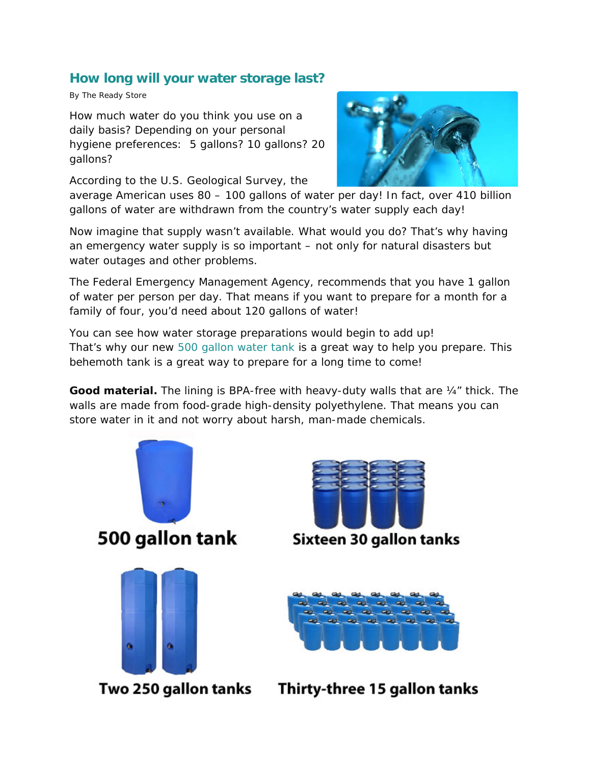## **[How long will your water storage last?](http://www.thereadystore.com/emergency-drinking-water/3816/how-long-will-your-water-storage-last/)**

By The Ready Store

How much water do you think you use on a daily basis? Depending on your personal hygiene preferences: 5 gallons? 10 gallons? 20 gallons?

According to the U.S. Geological Survey, the



average American uses 80 – 100 gallons of water per day! In fact, over 410 billion gallons of water are withdrawn from the country's water supply each day!

Now imagine that supply wasn't available. What would you do? That's why having an emergency water supply is so important – not only for natural disasters but water outages and other problems.

The Federal Emergency Management Agency, recommends that you have 1 gallon of water per person per day. That means if you want to prepare for a month for a family of four, you'd need about 120 gallons of water!

You can see how water storage preparations would begin to add up! That's why our new [500 gallon water tank](http://www.thereadystore.com/water-storage/ultimate-500-gallon-emergency-water-tank) is a great way to help you prepare. This behemoth tank is a great way to prepare for a long time to come!

**Good material.** The lining is BPA-free with heavy-duty walls that are ¼" thick. The walls are made from food-grade high-density polyethylene. That means you can store water in it and not worry about harsh, man-made chemicals.





**Sixteen 30 gallon tanks** 



Two 250 gallon tanks Thirty-three 15 gallon tanks